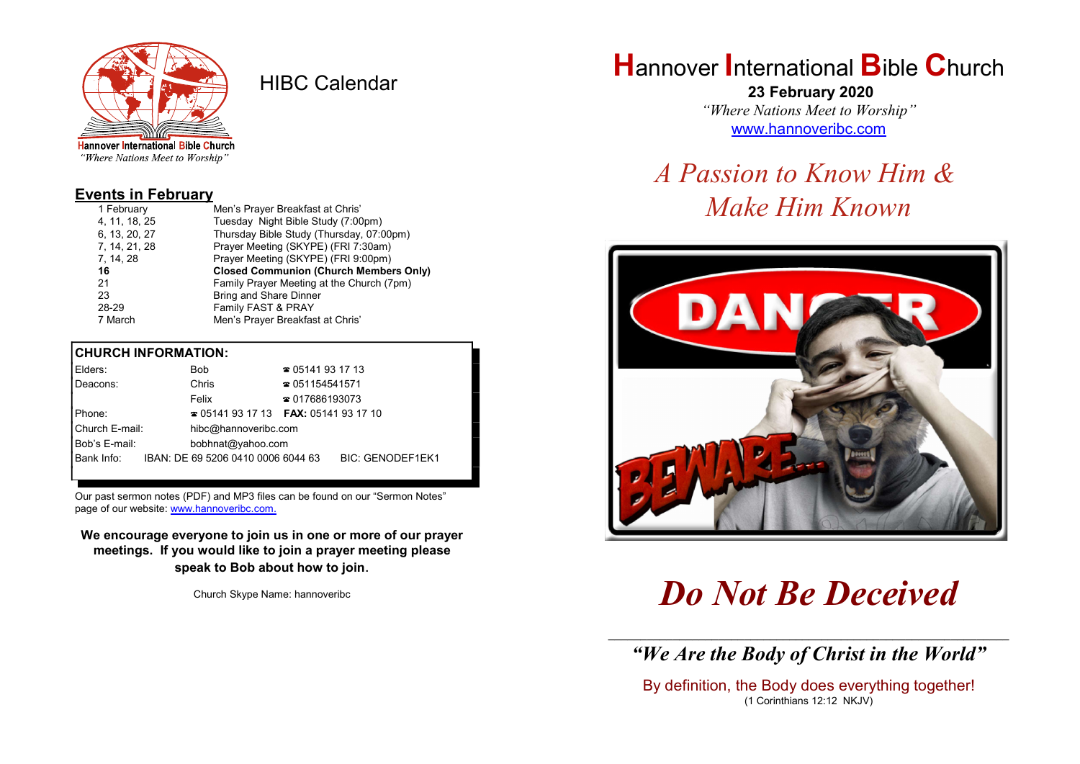

HIBC Calendar

"Where Nations Meet to Worship"

#### Events in February

| 1 February    | Men's Prayer Breakfast at Chris'              |
|---------------|-----------------------------------------------|
| 4, 11, 18, 25 | Tuesday Night Bible Study (7:00pm)            |
| 6, 13, 20, 27 | Thursday Bible Study (Thursday, 07:00pm)      |
| 7, 14, 21, 28 | Prayer Meeting (SKYPE) (FRI 7:30am)           |
| 7, 14, 28     | Prayer Meeting (SKYPE) (FRI 9:00pm)           |
| 16            | <b>Closed Communion (Church Members Only)</b> |
| 21            | Family Prayer Meeting at the Church (7pm)     |
| 23            |                                               |
|               | <b>Bring and Share Dinner</b>                 |
| 28-29         | Family FAST & PRAY                            |

#### CHURCH INFORMATION:

|          | Elders:        |                                                        | <b>Bob</b>                                      | $\approx 05141931713$  |  |  |
|----------|----------------|--------------------------------------------------------|-------------------------------------------------|------------------------|--|--|
|          | Deacons:       |                                                        | Chris                                           | $\approx 051154541571$ |  |  |
|          |                |                                                        | Felix                                           | $\approx 017686193073$ |  |  |
| I Phone: |                |                                                        | $\approx 05141931713$ <b>FAX:</b> 0514193 17 10 |                        |  |  |
|          | Church E-mail: | hibc@hannoveribc.com                                   |                                                 |                        |  |  |
|          | Bob's E-mail:  | bobhnat@yahoo.com                                      |                                                 |                        |  |  |
|          | Bank Info:     | IBAN: DE 69 5206 0410 0006 6044 63<br>BIC: GENODEF1EK1 |                                                 |                        |  |  |
|          |                |                                                        |                                                 |                        |  |  |

Our past sermon notes (PDF) and MP3 files can be found on our "Sermon Notes" page of our website: www.hannoveribc.com.

We encourage everyone to join us in one or more of our prayer meetings. If you would like to join a prayer meeting please speak to Bob about how to join.

Church Skype Name: hannoveribc

# **Hannover International Bible Church**

 23 February 2020 "Where Nations Meet to Worship" www.hannoveribc.com

# A Passion to Know Him & Make Him Known



# Do Not Be Deceived

\_\_\_\_\_\_\_\_\_\_\_\_\_\_\_\_\_\_\_\_\_\_\_\_\_\_\_\_\_\_\_\_\_\_\_\_\_\_\_\_\_\_\_\_\_\_\_\_\_\_\_\_\_\_\_\_\_\_\_\_\_\_ "We Are the Body of Christ in the World"

By definition, the Body does everything together! (1 Corinthians 12:12 NKJV)